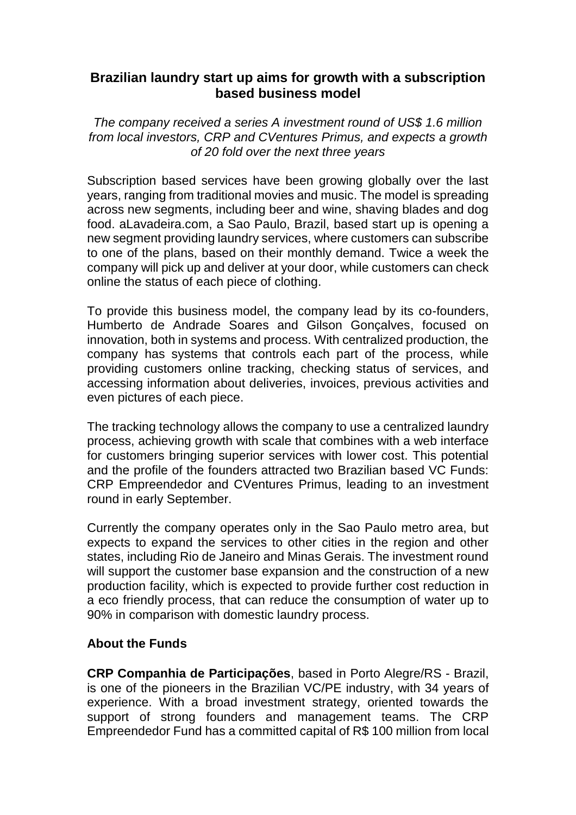## **Brazilian laundry start up aims for growth with a subscription based business model**

*The company received a series A investment round of US\$ 1.6 million from local investors, CRP and CVentures Primus, and expects a growth of 20 fold over the next three years*

Subscription based services have been growing globally over the last years, ranging from traditional movies and music. The model is spreading across new segments, including beer and wine, shaving blades and dog food. aLavadeira.com, a Sao Paulo, Brazil, based start up is opening a new segment providing laundry services, where customers can subscribe to one of the plans, based on their monthly demand. Twice a week the company will pick up and deliver at your door, while customers can check online the status of each piece of clothing.

To provide this business model, the company lead by its co-founders, Humberto de Andrade Soares and Gilson Gonçalves, focused on innovation, both in systems and process. With centralized production, the company has systems that controls each part of the process, while providing customers online tracking, checking status of services, and accessing information about deliveries, invoices, previous activities and even pictures of each piece.

The tracking technology allows the company to use a centralized laundry process, achieving growth with scale that combines with a web interface for customers bringing superior services with lower cost. This potential and the profile of the founders attracted two Brazilian based VC Funds: CRP Empreendedor and CVentures Primus, leading to an investment round in early September.

Currently the company operates only in the Sao Paulo metro area, but expects to expand the services to other cities in the region and other states, including Rio de Janeiro and Minas Gerais. The investment round will support the customer base expansion and the construction of a new production facility, which is expected to provide further cost reduction in a eco friendly process, that can reduce the consumption of water up to 90% in comparison with domestic laundry process.

## **About the Funds**

**CRP Companhia de Participações**, based in Porto Alegre/RS - Brazil, is one of the pioneers in the Brazilian VC/PE industry, with 34 years of experience. With a broad investment strategy, oriented towards the support of strong founders and management teams. The CRP Empreendedor Fund has a committed capital of R\$ 100 million from local